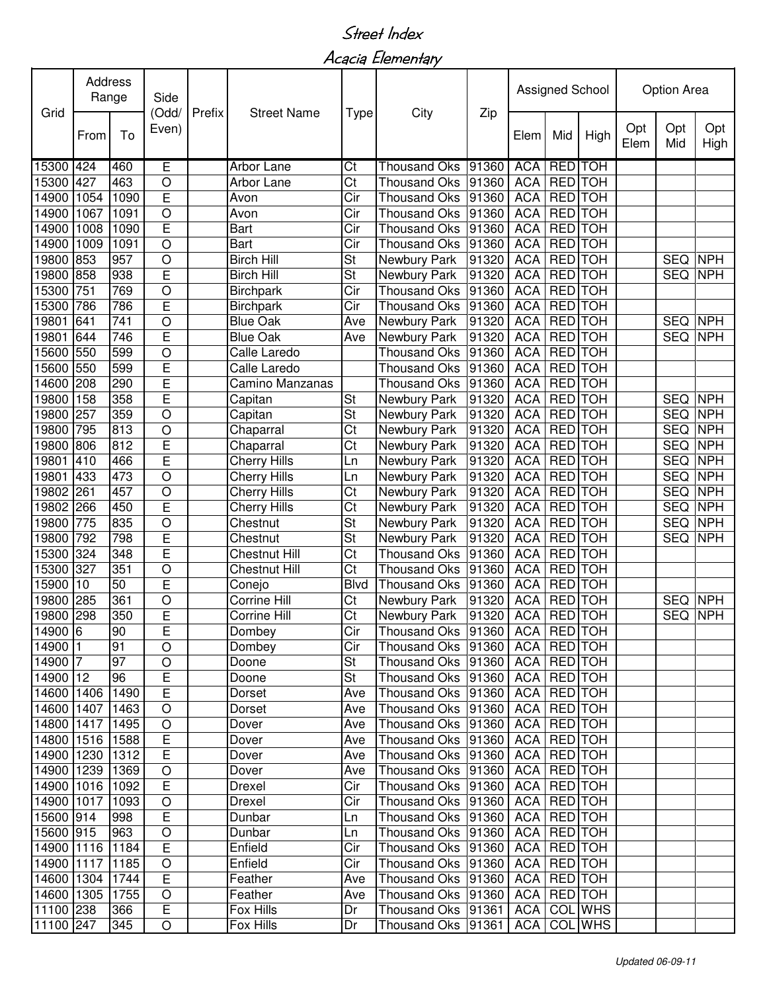Acacia Elementary

| Grid                    | Address<br>Range |              | Side<br>(Odd/   | Prefix | <b>Street Name</b>   | <b>Type</b>                           |                                          |                |                          | Assigned School          |                          |            | Option Area              |            |  |  |
|-------------------------|------------------|--------------|-----------------|--------|----------------------|---------------------------------------|------------------------------------------|----------------|--------------------------|--------------------------|--------------------------|------------|--------------------------|------------|--|--|
|                         | From             | Even)<br>To  |                 |        |                      | City                                  | Zip                                      | Elem           | Mid                      | High                     | Opt<br>Elem              | Opt<br>Mid | Opt<br>High              |            |  |  |
| 15300 424               |                  | 460          | E               |        | Arbor Lane           | Ct                                    | Thousand Oks                             | 91360          | <b>ACA</b>               | <b>RED</b>               | <b>TOH</b>               |            |                          |            |  |  |
| 15300                   | 427              | 463          | O               |        | Arbor Lane           | Ct                                    | Thousand Oks                             | 91360          | <b>ACA</b>               | <b>RED</b>               | <b>TOH</b>               |            |                          |            |  |  |
| 14900                   | 1054             | 1090         | E               |        | Avon                 | Cir                                   | <b>Thousand Oks</b>                      | 91360          | <b>ACA</b>               | <b>RED</b>               | <b>TOH</b>               |            |                          |            |  |  |
| 14900                   | 1067             | 1091         | $\overline{O}$  |        | Avon                 | Cir                                   | Thousand Oks                             | 91360          | <b>ACA</b>               | <b>RED</b>               | <b>TOH</b>               |            |                          |            |  |  |
| 14900                   | 1008             | 1090         | E               |        | Bart                 | Cir                                   | <b>Thousand Oks</b>                      | 91360          | <b>ACA</b>               | <b>RED</b>               | <b>TOH</b>               |            |                          |            |  |  |
| 14900                   | 1009             | 1091         | $\circ$         |        | Bart                 | Cir                                   | Thousand Oks 91360                       |                | <b>ACA</b>               | <b>RED</b>               | <b>TOH</b>               |            |                          |            |  |  |
| 19800                   | 853              | 957          | O               |        | <b>Birch Hill</b>    | $\overline{\mathsf{St}}$              | Newbury Park                             | 91320          | <b>ACA</b>               | <b>RED</b>               | <b>TOH</b>               |            | <b>SEQ</b>               | <b>NPH</b> |  |  |
| 19800                   | 858              | 938          | Ē               |        | <b>Birch Hill</b>    | St                                    | Newbury Park                             | 91320          | <b>ACA</b>               | <b>RED</b>               | <b>TOH</b>               |            | <b>SEQ</b>               | <b>NPH</b> |  |  |
| 15300                   | 751              | 769          | O               |        | <b>Birchpark</b>     | Cir                                   | <b>Thousand Oks</b>                      | 91360          | <b>ACA</b>               | <b>RED</b>               | <b>TOH</b>               |            |                          |            |  |  |
| 15300                   | 786              | 786          | E               |        | <b>Birchpark</b>     | Cir                                   | <b>Thousand Oks</b>                      | 91360          | <b>ACA</b>               | <b>RED</b>               | <b>TOH</b>               |            |                          |            |  |  |
| 19801                   | 641              | 741          | O               |        | <b>Blue Oak</b>      | Ave                                   | Newbury Park                             | 91320          | <b>ACA</b>               | <b>RED</b>               | <b>TOH</b>               |            | <b>SEQ</b>               | <b>NPH</b> |  |  |
| 19801                   | 644              | 746          | E               |        | <b>Blue Oak</b>      | Ave                                   | Newbury Park                             | 91320          | <b>ACA</b>               | <b>RED</b>               | <b>TOH</b>               |            | <b>SEQ</b>               | <b>NPH</b> |  |  |
| 15600                   | 550              | 599          | O               |        | Calle Laredo         |                                       | <b>Thousand Oks</b>                      | 91360          | <b>ACA</b>               | <b>RED</b>               | <b>TOH</b>               |            |                          |            |  |  |
| 15600                   | 550              | 599          | E               |        | Calle Laredo         |                                       | Thousand Oks                             | 91360          | <b>ACA</b>               | <b>RED</b><br><b>RED</b> | <b>TOH</b>               |            |                          |            |  |  |
| 14600                   | 208<br>158       | 290<br>358   | E<br>E          |        | Camino Manzanas      |                                       | Thousand Oks                             | 91360          | <b>ACA</b>               | <b>RED</b>               | <b>TOH</b><br><b>TOH</b> |            |                          | <b>NPH</b> |  |  |
| 19800                   | 257              | 359          | $\overline{O}$  |        | Capitan              | <b>St</b><br>$\overline{\mathsf{St}}$ | Newbury Park                             | 91320          | <b>ACA</b><br><b>ACA</b> | <b>RED</b>               | <b>TOH</b>               |            | <b>SEQ</b><br><b>SEQ</b> | <b>NPH</b> |  |  |
| 19800<br>19800          | 795              | 813          | $\circ$         |        | Capitan<br>Chaparral | Ct                                    | Newbury Park<br>Newbury Park             | 91320<br>91320 | <b>ACA</b>               | <b>RED</b>               | <b>TOH</b>               |            | <b>SEQ</b>               | <b>NPH</b> |  |  |
| 19800                   | 806              | 812          | E               |        | Chaparral            | Ct                                    | Newbury Park                             | 91320          | <b>ACA</b>               | <b>RED</b>               | <b>TOH</b>               |            | <b>SEQ</b>               | <b>NPH</b> |  |  |
| 19801                   | 410              | 466          | E               |        | Cherry Hills         | Ln                                    | Newbury Park                             | 91320          | <b>ACA</b>               | <b>RED</b>               | <b>TOH</b>               |            | <b>SEQ</b>               | <b>NPH</b> |  |  |
| 19801                   | 433              | 473          | O               |        | Cherry Hills         | Ln                                    | Newbury Park                             | 91320          | <b>ACA</b>               | <b>RED</b>               | <b>TOH</b>               |            | <b>SEQ</b>               | <b>NPH</b> |  |  |
| 19802                   | 261              | 457          | $\circ$         |        | Cherry Hills         | Ct                                    | Newbury Park                             | 91320          | <b>ACA</b>               | <b>RED</b>               | <b>TOH</b>               |            | <b>SEQ</b>               | <b>NPH</b> |  |  |
| 19802                   | 266              | 450          | E               |        | Cherry Hills         | Ct                                    | Newbury Park                             | 91320          | <b>ACA</b>               | <b>RED</b>               | <b>TOH</b>               |            | <b>SEQ</b>               | <b>NPH</b> |  |  |
| 19800                   | 775              | 835          | O               |        | Chestnut             | $\overline{\mathsf{St}}$              | Newbury Park                             | 91320          | <b>ACA</b>               | <b>RED</b>               | <b>TOH</b>               |            | <b>SEQ</b>               | <b>NPH</b> |  |  |
| 19800                   | 792              | 798          | E               |        | Chestnut             | $\overline{\mathsf{St}}$              | Newbury Park                             | 91320          | <b>ACA</b>               | <b>RED</b>               | <b>TOH</b>               |            | <b>SEQ</b>               | <b>NPH</b> |  |  |
| 15300                   | 324              | 348          | E               |        | Chestnut Hill        | Ct                                    | <b>Thousand Oks</b>                      | 91360          | <b>ACA</b>               | <b>RED</b>               | <b>TOH</b>               |            |                          |            |  |  |
| 15300                   | 327              | 351          | O               |        | Chestnut Hill        | Ct                                    | <b>Thousand Oks</b>                      | 91360          | <b>ACA</b>               | <b>RED</b>               | <b>TOH</b>               |            |                          |            |  |  |
| 15900                   | 10               | 50           | E               |        | Conejo               | <b>Blvd</b>                           | <b>Thousand Oks</b>                      | 91360          | <b>ACA</b>               | <b>RED</b>               | <b>TOH</b>               |            |                          |            |  |  |
| 19800                   | 285              | 361          | $\circ$         |        | Corrine Hill         | $\overline{\text{C}t}$                | Newbury Park                             | 91320          | <b>ACA</b>               | <b>RED</b>               | <b>TOH</b>               |            | <b>SEQ</b>               | <b>NPH</b> |  |  |
| 19800 298               |                  | 350          | E               |        | Corrine Hill         | $\overline{\text{Ct}}$                | Newbury Park                             | 91320          | <b>ACA</b>               | <b>RED</b>               | <b>TOH</b>               |            | <b>SEQ</b>               | <b>NPH</b> |  |  |
| 14900 6                 |                  | 90           | E               |        | Dombey               | Cir                                   | Thousand Oks 91360 ACA RED TOH           |                |                          |                          |                          |            |                          |            |  |  |
| 14900 1                 |                  | 91           | $\circ$         |        | Dombey               | Cir                                   | Thousand Oks   91360   ACA   RED   TOH   |                |                          |                          |                          |            |                          |            |  |  |
| 14900 7                 |                  | 97           | $\circ$         |        | Doone                | $\overline{\mathsf{St}}$              | Thousand Oks   91360   ACA   RED   TOH   |                |                          |                          |                          |            |                          |            |  |  |
| 14900 12                |                  | 96           | E               |        | Doone                | $\overline{\mathsf{St}}$              | Thousand Oks  91360   ACA   RED   TOH    |                |                          |                          |                          |            |                          |            |  |  |
| 14600 1406              |                  | 1490         | E               |        | Dorset               | Ave                                   | Thousand Oks 91360                       |                | ACA                      | RED TOH                  |                          |            |                          |            |  |  |
| 14600 1407              |                  | 1463         | $\bigcirc$      |        | Dorset               | Ave                                   | Thousand Oks 91360                       |                | <b>ACA</b>               | RED TOH                  |                          |            |                          |            |  |  |
| 14800 1417              |                  | 1495         | $\bigcirc$      |        | Dover                | Ave                                   | Thousand Oks 91360                       |                | <b>ACA</b>               | RED TOH                  |                          |            |                          |            |  |  |
| 14800 1516              |                  | 1588         | E               |        | Dover                | Ave                                   | Thousand Oks 91360                       |                | <b>ACA</b>               | RED TOH                  |                          |            |                          |            |  |  |
| 14900 1230              |                  | 1312         | E               |        | Dover                | Ave                                   | Thousand Oks 91360                       |                | <b>ACA</b>               | RED TOH                  |                          |            |                          |            |  |  |
| 14900 1239              |                  | 1369         | $\bigcirc$      |        | Dover                | Ave                                   | Thousand Oks 91360                       |                | <b>ACA</b>               | RED TOH                  |                          |            |                          |            |  |  |
| 14900 1016              |                  | 1092<br>1093 | E               |        | Drexel               | Cir                                   | Thousand Oks 91360                       |                | ACA                      | <b>RED</b> TOH           |                          |            |                          |            |  |  |
| 14900 1017<br>15600 914 |                  | 998          | $\bigcirc$<br>E |        | Drexel<br>Dunbar     | Cir<br>Ln                             | Thousand Oks 91360<br>Thousand Oks 91360 |                | ACA RED TOH<br>ACA       | RED TOH                  |                          |            |                          |            |  |  |
| 15600 915               |                  | 963          | $\bigcirc$      |        | Dunbar               | Ln                                    | Thousand Oks 91360                       |                | <b>ACA</b>               | RED TOH                  |                          |            |                          |            |  |  |
| 14900 1116              |                  | 1184         | E               |        | Enfield              | Cir                                   | Thousand Oks 91360                       |                | <b>ACA</b>               | RED TOH                  |                          |            |                          |            |  |  |
| 14900 1117              |                  | 1185         | $\bigcirc$      |        | Enfield              | Cir                                   | Thousand Oks 91360                       |                | <b>ACA</b>               | RED TOH                  |                          |            |                          |            |  |  |
| 14600 1304              |                  | 1744         | E               |        | Feather              | Ave                                   | Thousand Oks   91360                     |                | <b>ACA</b>               | RED TOH                  |                          |            |                          |            |  |  |
| 14600 1305              |                  | 1755         | $\circ$         |        | Feather              | Ave                                   | Thousand Oks 91360                       |                | ACA                      | RED TOH                  |                          |            |                          |            |  |  |
| 11100 238               |                  | 366          | E               |        | Fox Hills            | Dr                                    | Thousand Oks 91361                       |                | <b>ACA</b>               |                          | COL WHS                  |            |                          |            |  |  |
| 11100 247               |                  | 345          | $\bigcirc$      |        | Fox Hills            | Dr                                    | Thousand Oks 91361                       |                | <b>ACA</b>               |                          | COL WHS                  |            |                          |            |  |  |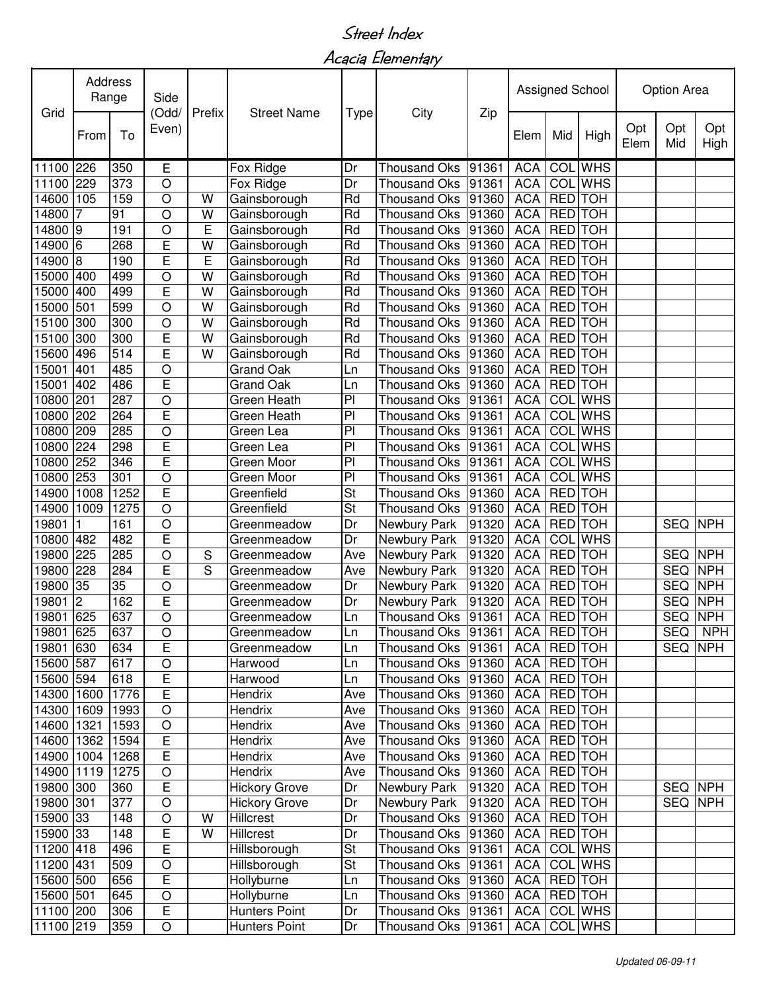Acacia Elementary

|            | <b>Address</b><br>Range |      | Side<br>(Odd/  | Prefix         |                      |                          |                     |       |             | Assigned School |                |             | Option Area    |             |
|------------|-------------------------|------|----------------|----------------|----------------------|--------------------------|---------------------|-------|-------------|-----------------|----------------|-------------|----------------|-------------|
| Grid       | To<br>From              |      | Even)          |                | <b>Street Name</b>   | <b>Type</b>              | City                | Zip   | Elem        | Mid             | High           | Opt<br>Elem | Opt<br>Mid     | Opt<br>High |
| 11100      | 226                     | 350  | Е              |                | Fox Ridge            | Dr                       | <b>Thousand Oks</b> | 91361 | <b>ACA</b>  |                 | <b>COL</b> WHS |             |                |             |
| 11100      | 229                     | 373  | O              |                | Fox Ridge            | Dr                       | <b>Thousand Oks</b> | 91361 | <b>ACA</b>  |                 | <b>COL</b> WHS |             |                |             |
| 14600      | 105                     | 159  | O              | W              | Gainsborough         | Rd                       | Thousand Oks        | 91360 | <b>ACA</b>  | <b>RED</b>      | <b>TOH</b>     |             |                |             |
| 14800      | 7                       | 91   | O              | W              | Gainsborough         | Rd                       | Thousand Oks        | 91360 | <b>ACA</b>  | <b>RED</b>      | <b>TOH</b>     |             |                |             |
| 14800 9    |                         | 191  | O              | E              | Gainsborough         | Rd                       | Thousand Oks        | 91360 | <b>ACA</b>  | <b>RED</b>      | <b>TOH</b>     |             |                |             |
| 14900 6    |                         | 268  | E              | W              | Gainsborough         | Rd                       | Thousand Oks        | 91360 | <b>ACA</b>  | <b>RED</b>      | <b>TOH</b>     |             |                |             |
| 14900 8    |                         | 190  | E              | $\overline{E}$ | Gainsborough         | Rd                       | <b>Thousand Oks</b> | 91360 | <b>ACA</b>  | <b>RED</b>      | <b>TOH</b>     |             |                |             |
| 15000 400  |                         | 499  | O              | W              | Gainsborough         | Rd                       | <b>Thousand Oks</b> | 91360 | <b>ACA</b>  | <b>RED</b>      | <b>TOH</b>     |             |                |             |
| 15000      | 400                     | 499  | E              | W              | Gainsborough         | Rd                       | <b>Thousand Oks</b> | 91360 | <b>ACA</b>  | <b>RED</b>      | <b>TOH</b>     |             |                |             |
| 15000      | 501                     | 599  | $\circ$        | W              | Gainsborough         | Rd                       | <b>Thousand Oks</b> | 91360 | <b>ACA</b>  | <b>RED</b>      | <b>TOH</b>     |             |                |             |
| 15100      | 300                     | 300  | O              | W              | Gainsborough         | Rd                       | <b>Thousand Oks</b> | 91360 | <b>ACA</b>  | <b>RED</b>      | <b>TOH</b>     |             |                |             |
| 15100      | 300                     | 300  | E              | W              | Gainsborough         | Rd                       | <b>Thousand Oks</b> | 91360 | <b>ACA</b>  | <b>RED</b>      | <b>TOH</b>     |             |                |             |
| 15600      | 496                     | 514  | E              | W              | Gainsborough         | Rd                       | Thousand Oks        | 91360 | <b>ACA</b>  | <b>RED</b> TOH  |                |             |                |             |
| 15001      | 401                     | 485  | $\circ$        |                | Grand Oak            | Ln                       | Thousand Oks        | 91360 | <b>ACA</b>  | <b>RED</b>      | <b>TOH</b>     |             |                |             |
| 15001      | 402                     | 486  | E              |                | <b>Grand Oak</b>     | Ln                       | <b>Thousand Oks</b> | 91360 | <b>ACA</b>  | <b>RED</b> TOH  |                |             |                |             |
| 10800      | 201                     | 287  | $\circ$        |                | Green Heath          | P <sub>1</sub>           | <b>Thousand Oks</b> | 91361 | <b>ACA</b>  |                 | <b>COL</b> WHS |             |                |             |
| 10800      | 202                     | 264  | Ē              |                | Green Heath          | $\overline{P}$           | <b>Thousand Oks</b> | 91361 | <b>ACA</b>  |                 | <b>COL</b> WHS |             |                |             |
| 10800      | 209                     | 285  | O              |                | Green Lea            | $\overline{P}$           | <b>Thousand Oks</b> | 91361 | <b>ACA</b>  |                 | <b>COL</b> WHS |             |                |             |
| 10800      | 224                     | 298  | E              |                | Green Lea            | $\overline{P}$           | <b>Thousand Oks</b> | 91361 | <b>ACA</b>  |                 | <b>COL</b> WHS |             |                |             |
| 10800      | 252                     | 346  | E              |                | Green Moor           | $\overline{P}$           | <b>Thousand Oks</b> | 91361 | <b>ACA</b>  |                 | <b>COL</b> WHS |             |                |             |
| 10800      | 253                     | 301  | O              |                | Green Moor           | P <sub>1</sub>           | <b>Thousand Oks</b> | 91361 | <b>ACA</b>  |                 | <b>COL</b> WHS |             |                |             |
| 14900      | 1008                    | 1252 | E              |                | Greenfield           | $\overline{\mathsf{St}}$ | Thousand Oks        | 91360 | <b>ACA</b>  | <b>RED</b>      | <b>TOH</b>     |             |                |             |
| 14900      | 1009                    | 1275 | $\circ$        |                | Greenfield           | St                       | <b>Thousand Oks</b> | 91360 | <b>ACA</b>  | <b>RED</b>      | <b>TOH</b>     |             |                |             |
| 19801      |                         | 161  | $\circ$        |                | Greenmeadow          | Dr                       | Newbury Park        | 91320 | <b>ACA</b>  | <b>RED</b>      | <b>TOH</b>     |             | <b>SEQ</b>     | <b>NPH</b>  |
| 10800      | 482                     | 482  | E              |                | Greenmeadow          | Dr                       | Newbury Park        | 91320 | <b>ACA</b>  |                 | COL WHS        |             |                |             |
| 19800      | 225                     | 285  | O              | $\mathbf S$    | Greenmeadow          | Ave                      | Newbury Park        | 91320 | <b>ACA</b>  | <b>RED</b>      | <b>TOH</b>     |             | <b>SEQ</b>     | <b>NPH</b>  |
| 19800      | 228                     | 284  | E              | S              | Greenmeadow          | Ave                      | Newbury Park        | 91320 | <b>ACA</b>  | <b>RED</b>      | <b>TOH</b>     |             | <b>SEQ</b>     | <b>NPH</b>  |
| 19800      | 35                      | 35   | O              |                | Greenmeadow          | Dr                       | Newbury Park        | 91320 | <b>ACA</b>  | <b>RED</b>      | <b>TOH</b>     |             | <b>SEQ</b>     | <b>NPH</b>  |
| 19801      | $\overline{2}$          | 162  | E              |                | Greenmeadow          | Dr                       | Newbury Park        | 91320 | <b>ACA</b>  | <b>RED</b>      | <b>TOH</b>     |             | <b>SEQ</b>     | <b>NPH</b>  |
| 19801 625  |                         | 637  | $\circ$        |                | Greenmeadow          | Ln                       | Thousand Oks 91361  |       | <b>ACA</b>  | RED TOH         |                |             | <b>SEQ NPH</b> |             |
| 19801 625  |                         | 637  | $\overline{O}$ |                | Greenmeadow          | Ln                       | Thousand Oks 91361  |       | ACA RED TOH |                 |                |             |                | SEQ NPH     |
| 19801 630  |                         | 634  | E              |                | Greenmeadow          | Ln                       | Thousand Oks 91361  |       | ACA         | RED TOH         |                |             | SEQ NPH        |             |
| 15600 587  |                         | 617  | $\bigcirc$     |                | Harwood              | Ln                       | Thousand Oks 91360  |       | <b>ACA</b>  | RED TOH         |                |             |                |             |
| 15600 594  |                         | 618  | E              |                | Harwood              | Ln                       | Thousand Oks 91360  |       | <b>ACA</b>  | RED TOH         |                |             |                |             |
| 14300 1600 |                         | 1776 | E              |                | Hendrix              | Ave                      | Thousand Oks 91360  |       | <b>ACA</b>  | RED TOH         |                |             |                |             |
| 14300 1609 |                         | 1993 | $\overline{O}$ |                | Hendrix              | Ave                      | Thousand Oks 91360  |       | <b>ACA</b>  | RED TOH         |                |             |                |             |
| 14600 1321 |                         | 1593 | $\circ$        |                | Hendrix              | Ave                      | Thousand Oks 91360  |       | <b>ACA</b>  | RED TOH         |                |             |                |             |
| 14600 1362 |                         | 1594 | $\overline{E}$ |                | Hendrix              | Ave                      | Thousand Oks 91360  |       | <b>ACA</b>  | RED TOH         |                |             |                |             |
| 14900 1004 |                         | 1268 | E              |                | Hendrix              | Ave                      | Thousand Oks 91360  |       | <b>ACA</b>  | RED TOH         |                |             |                |             |
| 14900 1119 |                         | 1275 | $\bigcirc$     |                | Hendrix              | Ave                      | Thousand Oks 91360  |       | <b>ACA</b>  | RED TOH         |                |             |                |             |
| 19800 300  |                         | 360  | E              |                | <b>Hickory Grove</b> | Dr                       | Newbury Park        | 91320 | <b>ACA</b>  | RED TOH         |                |             | <b>SEQ NPH</b> |             |
| 19800 301  |                         | 377  | $\circ$        |                | <b>Hickory Grove</b> | Dr                       | Newbury Park        | 91320 | <b>ACA</b>  | RED TOH         |                |             | SEQ NPH        |             |
| 15900 33   |                         | 148  | $\circ$        | W              | <b>Hillcrest</b>     | Dr                       | Thousand Oks 91360  |       | <b>ACA</b>  | RED TOH         |                |             |                |             |
| 15900 33   |                         | 148  | E              | W              | Hillcrest            | Dr                       | Thousand Oks 91360  |       | <b>ACA</b>  | RED TOH         |                |             |                |             |
| 11200 418  |                         | 496  | E              |                | Hillsborough         | $\overline{St}$          | Thousand Oks 91361  |       | <b>ACA</b>  |                 | COL WHS        |             |                |             |
| 11200 431  |                         | 509  | $\bigcirc$     |                | Hillsborough         | $\overline{\mathsf{St}}$ | Thousand Oks 91361  |       | <b>ACA</b>  |                 | COL WHS        |             |                |             |
| 15600 500  |                         | 656  | E              |                | Hollyburne           | Ln                       | Thousand Oks 91360  |       | <b>ACA</b>  | <b>RED</b> TOH  |                |             |                |             |
| 15600 501  |                         | 645  | $\bigcirc$     |                | Hollyburne           | Ln                       | Thousand Oks 91360  |       | <b>ACA</b>  | RED TOH         |                |             |                |             |
| 11100 200  |                         | 306  | E              |                | <b>Hunters Point</b> | Dr                       | Thousand Oks 91361  |       | <b>ACA</b>  |                 | COL WHS        |             |                |             |
| 11100 219  |                         | 359  | $\bigcirc$     |                | <b>Hunters Point</b> | Dr                       | Thousand Oks 91361  |       | <b>ACA</b>  |                 | COL WHS        |             |                |             |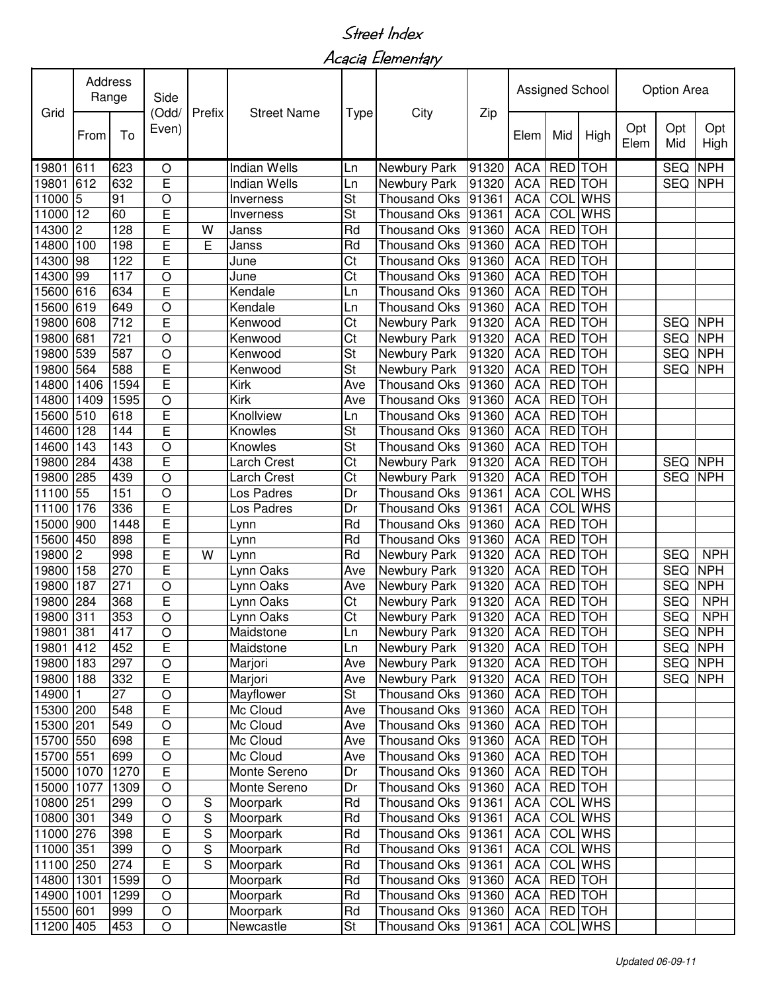Acacia Elementary

|            | Address<br>Range |      | Side           | Prefix         | <b>Street Name</b>  |                          |                      |                   | Assigned School  |                |                | Option Area |                |             |
|------------|------------------|------|----------------|----------------|---------------------|--------------------------|----------------------|-------------------|------------------|----------------|----------------|-------------|----------------|-------------|
| Grid       | From             | To   | (Odd/<br>Even) |                |                     | Type                     | City                 | Zip               | Elem             | Mid            | High           | Opt<br>Elem | Opt<br>Mid     | Opt<br>High |
| 19801      | 611              | 623  | O              |                | <b>Indian Wells</b> | Ln                       | Newbury Park         | 91320             | <b>ACA</b>       | RED            | <b>TOH</b>     |             | <b>SEQ</b>     | <b>NPH</b>  |
| 19801      | 612              | 632  | E              |                | <b>Indian Wells</b> | Ln                       | Newbury Park         | 91320             | <b>ACA</b>       | RED TOH        |                |             | <b>SEQ</b>     | <b>NPH</b>  |
| 11000      | 5                | 91   | O              |                | Inverness           | St                       | <b>Thousand Oks</b>  | 91361             | <b>ACA</b>       |                | <b>COL</b> WHS |             |                |             |
| 11000      | 12               | 60   | E              |                | Inverness           | St                       | <b>Thousand Oks</b>  | 91361             | <b>ACA</b>       |                | <b>COL WHS</b> |             |                |             |
| 14300      | 2                | 128  | E              | W              | Janss               | Rd                       | Thousand Oks 91360   |                   | <b>ACA</b>       | RED TOH        |                |             |                |             |
| 14800      | 100              | 198  | E              | E              | Janss               | Rd                       | <b>Thousand Oks</b>  | 91360             | <b>ACA</b>       | RED TOH        |                |             |                |             |
| 14300      | 98               | 122  | E              |                | June                | Ct                       | <b>Thousand Oks</b>  | 91360             | <b>ACA</b>       | <b>RED</b>     | <b>TOH</b>     |             |                |             |
| 14300      | 99               | 117  | O              |                | June                | Ct                       | <b>Thousand Oks</b>  | 91360             | $AC\overline{A}$ | <b>RED</b>     | <b>TOH</b>     |             |                |             |
| 15600      | 616              | 634  | E              |                | Kendale             | Ln                       | <b>Thousand Oks</b>  | 91360             | <b>ACA</b>       | <b>RED</b>     | <b>TOH</b>     |             |                |             |
| 15600      | 619              | 649  | O              |                | Kendale             | Ln                       | <b>Thousand Oks</b>  | 91360             | <b>ACA</b>       | RED TOH        |                |             |                |             |
| 19800      | 608              | 712  | E              |                | Kenwood             | Ct                       | Newbury Park         | 91320             | <b>ACA</b>       | <b>RED</b>     | <b>TOH</b>     |             | <b>SEQ</b>     | <b>NPH</b>  |
| 19800      | 681              | 721  | $\circ$        |                | Kenwood             | Ct                       | Newbury Park         | 91320             | <b>ACA</b>       | <b>RED</b>     | <b>TOH</b>     |             | <b>SEQ</b>     | <b>NPH</b>  |
| 19800      | 539              | 587  | O              |                | Kenwood             | St                       | Newbury Park         | 91320             | <b>ACA</b>       | RED TOH        |                |             | <b>SEQ</b>     | <b>NPH</b>  |
| 19800      | 564              | 588  | E              |                | Kenwood             | $\overline{\mathsf{St}}$ | Newbury Park         | 91320             | <b>ACA</b>       | RED TOH        |                |             | <b>SEQ</b>     | <b>NPH</b>  |
| 14800      | 1406             | 1594 | Ē              |                | Kirk                | Ave                      | <b>Thousand Oks</b>  | 91360             | <b>ACA</b>       | <b>RED</b> TOH |                |             |                |             |
| 14800      | 1409             | 1595 | $\overline{O}$ |                | Kirk                | Ave                      | <b>Thousand Oks</b>  | 91360             | <b>ACA</b>       | <b>RED</b>     | <b>TOH</b>     |             |                |             |
| 15600      | 510              | 618  | E              |                | Knollview           | Ln                       | <b>Thousand Oks</b>  | 91360             | <b>ACA</b>       | <b>RED</b>     | <b>TOH</b>     |             |                |             |
| 14600      | 128              | 144  | Ē              |                | Knowles             | St                       | Thousand Oks         | 91360             | <b>ACA</b>       | <b>RED</b> TOH |                |             |                |             |
| 14600      | 143              | 143  | $\circ$        |                | Knowles             | $\overline{\mathsf{St}}$ | <b>Thousand Oks</b>  | 91360             | <b>ACA</b>       | <b>RED</b>     | <b>TOH</b>     |             |                |             |
| 19800      | 284              | 438  | E              |                | Larch Crest         | Ct                       | Newbury Park         | 91320             | <b>ACA</b>       | <b>RED</b>     | <b>TOH</b>     |             | <b>SEQ</b>     | <b>NPH</b>  |
| 19800      | 285              | 439  | O              |                | Larch Crest         | Ct                       | Newbury Park         | 91320             | <b>ACA</b>       | RED TOH        |                |             | <b>SEQ</b>     | <b>NPH</b>  |
| 11100      | 55               | 151  | $\circ$        |                | Los Padres          | Dr                       | <b>Thousand Oks</b>  | 91361             | <b>ACA</b>       |                | <b>COL WHS</b> |             |                |             |
| 11100      | 176              | 336  | E              |                | Los Padres          | Dr                       | <b>Thousand Oks</b>  | 91361             | <b>ACA</b>       |                | <b>COL</b> WHS |             |                |             |
| 15000      | 900              | 1448 | E              |                | Lynn                | Rd                       | <b>Thousand Oks</b>  | 91360             | <b>ACA</b>       | RED TOH        |                |             |                |             |
| 15600      | 450              | 898  | E              |                | Lynn                | Rd                       | <b>Thousand Oks</b>  | 91360             | $AC\overline{A}$ | RED TOH        |                |             |                |             |
| 19800      | $\overline{2}$   | 998  | E              | W              | Lynn                | Rd                       | Newbury Park         | 91320             | <b>ACA</b>       | <b>RED</b>     | <b>TOH</b>     |             | <b>SEQ</b>     | <b>NPH</b>  |
| 19800      | 158              | 270  | E              |                | Lynn Oaks           | Ave                      | Newbury Park         | 91320             | <b>ACA</b>       | RED TOH        |                |             | <b>SEQ</b>     | <b>NPH</b>  |
| 19800      | 187              | 271  | $\circ$        |                | Lynn Oaks           | Ave                      | Newbury Park         | 91320             | <b>ACA</b>       | <b>RED</b>     | <b>TOH</b>     |             | <b>SEQ</b>     | <b>NPH</b>  |
| 19800      | 284              | 368  | E              |                | Lynn Oaks           | Ct                       | Newbury Park         | 91320             | <b>ACA</b>       | RED TOH        |                |             | <b>SEQ</b>     | <b>NPH</b>  |
| 19800 311  |                  | 353  | $\circ$        |                | Lynn Oaks           | Ct                       | Newbury Park         | 91320             | ACA   RED   TOH  |                |                |             | <b>SEQ</b>     | <b>NPH</b>  |
| 19801 381  |                  | 417  | $\overline{O}$ |                | Maidstone           | Ln                       | <b>Newbury Park</b>  | 91320 ACA RED TOH |                  |                |                |             |                | SEQ NPH     |
| 19801 412  |                  | 452  | E              |                | Maidstone           | Ln                       | Newbury Park         | 91320             | ACA RED TOH      |                |                |             | <b>SEQ NPH</b> |             |
| 19800      | 183              | 297  | O              |                | Marjori             | Ave                      | Newbury Park         | 91320             | ACA              | RED TOH        |                |             | SEQ NPH        |             |
| 19800      | 188              | 332  | E              |                | Marjori             | Ave                      | Newbury Park         | 91320             | <b>ACA</b>       | <b>RED</b> TOH |                |             | <b>SEQ</b>     | <b>NPH</b>  |
| 14900      | 1                | 27   | $\circ$        |                | Mayflower           | <b>St</b>                | Thousand Oks   91360 |                   | <b>ACA</b>       | RED TOH        |                |             |                |             |
| 15300 200  |                  | 548  | E              |                | Mc Cloud            | Ave                      | Thousand Oks 91360   |                   | <b>ACA</b>       | RED TOH        |                |             |                |             |
| 15300 201  |                  | 549  | $\circ$        |                | Mc Cloud            | Ave                      | Thousand Oks 91360   |                   | <b>ACA</b>       | RED TOH        |                |             |                |             |
| 15700 550  |                  | 698  | E              |                | Mc Cloud            | Ave                      | Thousand Oks 91360   |                   | ACA              | RED TOH        |                |             |                |             |
| 15700 551  |                  | 699  | $\bigcirc$     |                | Mc Cloud            | Ave                      | Thousand Oks 91360   |                   | <b>ACA</b>       | <b>RED</b> TOH |                |             |                |             |
| 15000 1070 |                  | 1270 | E              |                | Monte Sereno        | Dr                       | Thousand Oks 91360   |                   | <b>ACA</b>       | RED TOH        |                |             |                |             |
| 15000 1077 |                  | 1309 | $\circ$        |                | Monte Sereno        | Dr                       | Thousand Oks 91360   |                   | <b>ACA</b>       | RED TOH        |                |             |                |             |
| 10800 251  |                  | 299  | $\circ$        | ${\mathsf S}$  | Moorpark            | Rd                       | Thousand Oks   91361 |                   | <b>ACA</b>       |                | <b>COL WHS</b> |             |                |             |
| 10800 301  |                  | 349  | O              | $\overline{S}$ | Moorpark            | Rd                       | Thousand Oks   91361 |                   | <b>ACA</b>       |                | COL WHS        |             |                |             |
| 11000 276  |                  | 398  | E              | $\overline{S}$ | Moorpark            | Rd                       | Thousand Oks 91361   |                   | <b>ACA</b>       |                | <b>COL WHS</b> |             |                |             |
| 11000      | 351              | 399  | $\circ$        | $\overline{S}$ | Moorpark            | $\overline{\mathsf{Rd}}$ | Thousand Oks 91361   |                   | <b>ACA</b>       |                | <b>COL</b> WHS |             |                |             |
| 11100 250  |                  | 274  | E              | S              | Moorpark            | Rd                       | Thousand Oks 91361   |                   | <b>ACA</b>       |                | COL WHS        |             |                |             |
| 14800 1301 |                  | 1599 | $\circ$        |                | Moorpark            | Rd                       | Thousand Oks 91360   |                   | <b>ACA</b>       | <b>RED</b> TOH |                |             |                |             |
| 14900 1001 |                  | 1299 | $\bigcirc$     |                | Moorpark            | Rd                       | Thousand Oks   91360 |                   | <b>ACA</b>       | RED TOH        |                |             |                |             |
| 15500 601  |                  | 999  | $\bigcirc$     |                | Moorpark            | Rd                       | Thousand Oks 91360   |                   | <b>ACA</b>       | <b>RED</b> TOH |                |             |                |             |
| 11200 405  |                  | 453  | O              |                | Newcastle           | St                       | Thousand Oks   91361 |                   | <b>ACA</b>       |                | COL WHS        |             |                |             |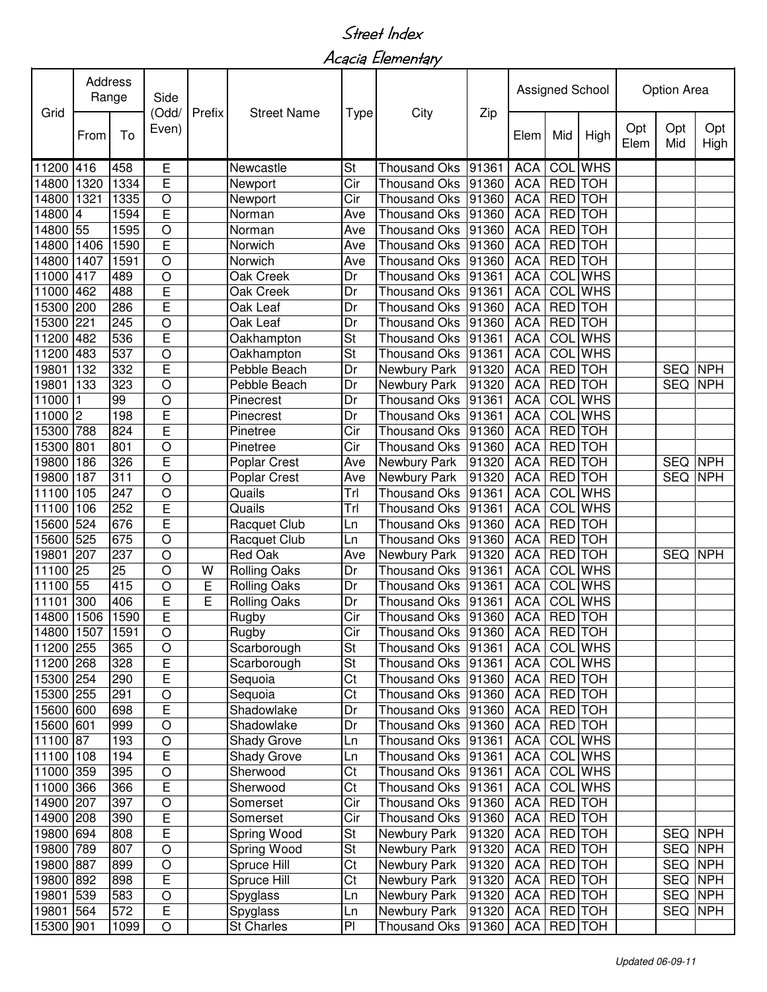Acacia Elementary

| Grid                   |      | <b>Address</b><br>Range<br>Side<br>(Odd/ |                 | Prefix | <b>Street Name</b>   |                                                      |                                |                |                          | Assigned School          |                |             | Option Area               |             |
|------------------------|------|------------------------------------------|-----------------|--------|----------------------|------------------------------------------------------|--------------------------------|----------------|--------------------------|--------------------------|----------------|-------------|---------------------------|-------------|
|                        | From | To                                       | Even)           |        |                      | <b>Type</b>                                          | City                           | Zip            | Elem                     | Mid                      | High           | Opt<br>Elem | Opt<br>Mid                | Opt<br>High |
| 11200                  | 416  | 458                                      | Е               |        | Newcastle            | St                                                   | <b>Thousand Oks</b>            | 91361          | <b>ACA</b>               |                          | COL WHS        |             |                           |             |
| 14800                  | 1320 | 1334                                     | Ē               |        | Newport              | Cir                                                  | Thousand Oks                   | 91360          | <b>ACA</b>               | RED TOH                  |                |             |                           |             |
| 14800                  | 1321 | 1335                                     | $\circ$         |        | Newport              | Cir                                                  | Thousand Oks                   | 91360          | <b>ACA</b>               | <b>RED</b>               | <b>TOH</b>     |             |                           |             |
| 14800                  | 4    | 1594                                     | E               |        | Norman               | Ave                                                  | Thousand Oks 91360             |                | <b>ACA</b>               | <b>RED</b>               | <b>TOH</b>     |             |                           |             |
| 14800                  | 55   | 1595                                     | $\circ$         |        | Norman               | Ave                                                  | Thousand Oks 91360             |                | <b>ACA</b>               | RED TOH                  |                |             |                           |             |
| 14800                  | 1406 | 1590                                     | E               |        | Norwich              | Ave                                                  | Thousand Oks 91360             |                | <b>ACA</b>               | RED TOH                  |                |             |                           |             |
| 14800                  | 1407 | 1591                                     | $\circ$         |        | Norwich              | Ave                                                  | <b>Thousand Oks</b>            | 91360          | <b>ACA</b>               | RED TOH                  |                |             |                           |             |
| 11000                  | 417  | 489                                      | $\circ$         |        | Oak Creek            | Dr                                                   | <b>Thousand Oks</b>            | 91361          | <b>ACA</b>               |                          | <b>COL</b> WHS |             |                           |             |
| 11000                  | 462  | 488                                      | E               |        | Oak Creek            | Dr                                                   | <b>Thousand Oks</b>            | 91361          | <b>ACA</b>               |                          | <b>COL</b> WHS |             |                           |             |
| 15300                  | 200  | 286                                      | Ē               |        | Oak Leaf             | Dr                                                   | <b>Thousand Oks</b>            | 91360          | <b>ACA</b>               | <b>RED</b> TOH           |                |             |                           |             |
| 15300                  | 221  | 245                                      | $\circ$         |        | Oak Leaf             | Dr                                                   | <b>Thousand Oks</b>            | 91360          | <b>ACA</b>               | RED TOH                  |                |             |                           |             |
| 11200                  | 482  | 536                                      | E               |        | Oakhampton           | $\overline{\mathsf{St}}$                             | Thousand Oks 91361             |                | <b>ACA</b>               |                          | COL WHS        |             |                           |             |
| 11200                  | 483  | 537                                      | $\circ$         |        | Oakhampton           | St                                                   | Thousand Oks                   | 91361          | <b>ACA</b>               |                          | COL WHS        |             |                           |             |
| 19801                  | 132  | 332                                      | Ē               |        | Pebble Beach         | Dr                                                   | Newbury Park                   | 91320          | <b>ACA</b>               | <b>RED</b> TOH           |                |             | <b>SEQ</b>                | <b>NPH</b>  |
| 19801                  | 133  | 323                                      | $\circ$         |        | Pebble Beach         | Dr                                                   | Newbury Park                   | 91320          | <b>ACA</b>               | <b>RED</b> TOH           |                |             | <b>SEQ</b>                | <b>NPH</b>  |
| 11000                  |      | 99                                       | $\circ$         |        | Pinecrest            | Dr                                                   | <b>Thousand Oks</b>            | 91361          | <b>ACA</b>               |                          | <b>COL</b> WHS |             |                           |             |
| 11000                  | 2    | 198                                      | Ē               |        | Pinecrest            | Dr                                                   | Thousand Oks                   | 91361          | <b>ACA</b>               |                          | <b>COL</b> WHS |             |                           |             |
| 15300                  | 788  | 824                                      | Ē               |        | Pinetree             | Cir                                                  | Thousand Oks                   | 91360          | <b>ACA</b>               | <b>RED</b> TOH           |                |             |                           |             |
| 15300                  | 801  | 801                                      | $\circ$         |        | Pinetree             | Cir                                                  | Thousand Oks                   | 91360          | <b>ACA</b>               | RED TOH                  |                |             |                           |             |
| 19800                  | 186  | 326                                      | Ē               |        | Poplar Crest         | Ave                                                  | Newbury Park                   | 91320          | <b>ACA</b>               | RED TOH                  |                |             | <b>SEQ</b>                | <b>NPH</b>  |
| 19800                  | 187  | 311                                      | $\circ$         |        | Poplar Crest         | Ave                                                  | Newbury Park                   | 91320          | <b>ACA</b>               | RED TOH                  |                |             | <b>SEQ</b>                | <b>NPH</b>  |
| 11100                  | 105  | 247                                      | $\circ$         |        | Quails               | Trl                                                  | Thousand Oks                   | 91361          | <b>ACA</b>               |                          | <b>COL WHS</b> |             |                           |             |
| 11100                  | 106  | 252                                      | E               |        | Quails               | Trl                                                  | <b>Thousand Oks</b>            | 91361          | <b>ACA</b>               |                          | <b>COL</b> WHS |             |                           |             |
| 15600                  | 524  | 676                                      | E               |        | Racquet Club         | Ln                                                   | <b>Thousand Oks</b>            | 91360          | <b>ACA</b>               | RED TOH                  |                |             |                           |             |
| 15600                  | 525  | 675                                      | $\circ$         |        | Racquet Club         | Ln                                                   | <b>Thousand Oks</b>            | 91360          | <b>ACA</b>               | RED TOH                  |                |             |                           |             |
| 19801                  | 207  | 237                                      | $\circ$         |        | <b>Red Oak</b>       | Ave                                                  | Newbury Park                   | 91320          | <b>ACA</b>               | RED TOH                  |                |             | <b>SEQ</b>                | <b>NPH</b>  |
| 11100                  | 25   | 25                                       | $\circ$         | W      | <b>Rolling Oaks</b>  | Dr                                                   | Thousand Oks                   | 91361          | <b>ACA</b>               |                          | <b>COL</b> WHS |             |                           |             |
| 11100                  | 55   | 415                                      | $\circ$         | E      | <b>Rolling Oaks</b>  | Dr                                                   | Thousand Oks                   | 91361          | <b>ACA</b>               |                          | <b>COL</b> WHS |             |                           |             |
| 11101                  | 300  | 406                                      | E               | E      | <b>Rolling Oaks</b>  | Dr                                                   | Thousand Oks 91361             |                | <b>ACA</b>               |                          | <b>COL</b> WHS |             |                           |             |
| 14800 1506             |      | 1590                                     | E               |        | Rugby                | Cir                                                  | Thousand Oks 91360             |                |                          | ACA   RED   TOH          |                |             |                           |             |
| 14800 1507 1591        |      |                                          | $\overline{O}$  |        | Rugby                | Cir                                                  | Thousand Oks 91360 ACA RED TOH |                |                          |                          |                |             |                           |             |
| 11200 255              |      | 365                                      | $\bigcirc$      |        | Scarborough          | <b>St</b>                                            | Thousand Oks 91361             |                | <b>ACA</b>               |                          | <b>COL WHS</b> |             |                           |             |
| 11200 268              |      | 328                                      | E               |        | Scarborough          | St                                                   | Thousand Oks 91361             |                | <b>ACA</b>               |                          | COL WHS        |             |                           |             |
| 15300 254              |      | 290                                      | E               |        | Sequoia              | Ct                                                   | Thousand Oks   91360           |                | ACA                      | RED TOH                  |                |             |                           |             |
| 15300 255              |      | 291                                      | $\bigcirc$      |        | Sequoia              | Ct                                                   | Thousand Oks   91360           |                | <b>ACA</b>               | RED TOH                  |                |             |                           |             |
| 15600 600              |      | 698                                      | E               |        | Shadowlake           | Dr                                                   | Thousand Oks 91360             |                | <b>ACA</b>               | RED TOH                  |                |             |                           |             |
| 15600 601              |      | 999                                      | $\bigcirc$      |        | Shadowlake           | Dr                                                   | Thousand Oks 91360             |                | <b>ACA</b>               | <b>RED</b> TOH           |                |             |                           |             |
| 11100 87               |      | 193                                      | $\bigcirc$      |        | Shady Grove          | Ln                                                   | Thousand Oks 91361             |                | <b>ACA</b>               |                          | COL WHS        |             |                           |             |
| 11100 108              |      | 194                                      | $\overline{E}$  |        | Shady Grove          | Ln                                                   | Thousand Oks 91361             |                | <b>ACA</b>               |                          | COL WHS        |             |                           |             |
| 11000 359              |      | 395                                      | $\bigcirc$      |        | Sherwood             | Ct                                                   | Thousand Oks   91361           |                | <b>ACA</b>               |                          | COL WHS        |             |                           |             |
| 11000 366              |      | 366                                      | E               |        | Sherwood             | Ct                                                   | Thousand Oks 91361             |                | <b>ACA</b>               |                          | COL WHS        |             |                           |             |
| 14900 207              |      | 397                                      | $\bigcirc$<br>E |        | Somerset             | Cir<br>$\overline{C}$ ir                             | Thousand Oks 91360             |                | <b>ACA</b>               | RED TOH                  |                |             |                           |             |
| 14900 208              |      | 390                                      |                 |        | Somerset             |                                                      | Thousand Oks 91360             |                | <b>ACA</b>               | RED TOH                  |                |             |                           |             |
| 19800 694              |      | 808<br>807                               | E<br>$\circ$    |        | Spring Wood          | $\overline{\mathsf{St}}$<br>$\overline{\mathsf{St}}$ | Newbury Park                   | 91320          | <b>ACA</b>               | RED TOH                  |                |             | <b>SEQ NPH</b><br>SEQ NPH |             |
| 19800 789              |      | 899                                      |                 |        | Spring Wood          | $\overline{\text{C}t}$                               | Newbury Park                   | 91320          | <b>ACA</b>               | RED TOH                  |                |             | SEQ NPH                   |             |
| 19800 887              |      | 898                                      | $\bigcirc$<br>E |        | Spruce Hill          | $\overline{\text{Ct}}$                               | Newbury Park                   | 91320          | <b>ACA</b><br><b>ACA</b> | RED TOH                  |                |             | SEQ NPH                   |             |
| 19800 892<br>19801 539 |      | 583                                      | $\overline{O}$  |        | Spruce Hill          |                                                      | Newbury Park<br>Newbury Park   | 91320<br>91320 |                          | RED TOH<br>ACA   RED TOH |                |             | SEQ NPH                   |             |
| 19801                  | 564  | 572                                      | E               |        | Spyglass<br>Spyglass | Ln<br>Ln                                             | Newbury Park                   | 91320          |                          | ACA   RED   TOH          |                |             | SEQ                       | <b>NPH</b>  |
| 15300 901              |      | 1099                                     | $\bigcirc$      |        | <b>St Charles</b>    | PI                                                   | Thousand Oks                   | 91360          |                          | ACA   RED   TOH          |                |             |                           |             |
|                        |      |                                          |                 |        |                      |                                                      |                                |                |                          |                          |                |             |                           |             |